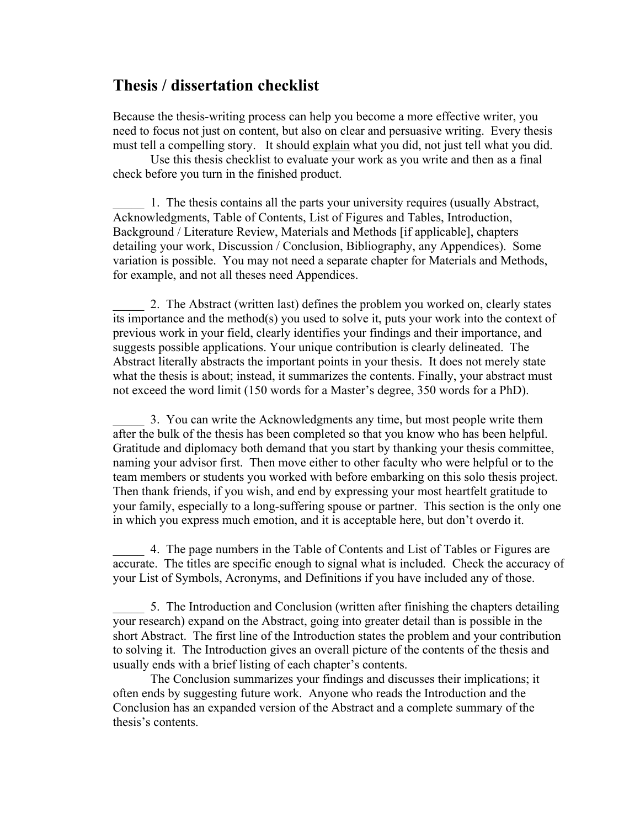## **Thesis / dissertation checklist**

Because the thesis-writing process can help you become a more effective writer, you need to focus not just on content, but also on clear and persuasive writing. Every thesis must tell a compelling story. It should explain what you did, not just tell what you did.

Use this thesis checklist to evaluate your work as you write and then as a final check before you turn in the finished product.

1. The thesis contains all the parts your university requires (usually Abstract, Acknowledgments, Table of Contents, List of Figures and Tables, Introduction, Background / Literature Review, Materials and Methods [if applicable], chapters detailing your work, Discussion / Conclusion, Bibliography, any Appendices). Some variation is possible. You may not need a separate chapter for Materials and Methods, for example, and not all theses need Appendices.

2. The Abstract (written last) defines the problem you worked on, clearly states its importance and the method(s) you used to solve it, puts your work into the context of previous work in your field, clearly identifies your findings and their importance, and suggests possible applications. Your unique contribution is clearly delineated. The Abstract literally abstracts the important points in your thesis. It does not merely state what the thesis is about; instead, it summarizes the contents. Finally, your abstract must not exceed the word limit (150 words for a Master's degree, 350 words for a PhD).

\_\_\_\_\_ 3. You can write the Acknowledgments any time, but most people write them after the bulk of the thesis has been completed so that you know who has been helpful. Gratitude and diplomacy both demand that you start by thanking your thesis committee, naming your advisor first. Then move either to other faculty who were helpful or to the team members or students you worked with before embarking on this solo thesis project. Then thank friends, if you wish, and end by expressing your most heartfelt gratitude to your family, especially to a long-suffering spouse or partner. This section is the only one in which you express much emotion, and it is acceptable here, but don't overdo it.

\_\_\_\_\_ 4. The page numbers in the Table of Contents and List of Tables or Figures are accurate. The titles are specific enough to signal what is included. Check the accuracy of your List of Symbols, Acronyms, and Definitions if you have included any of those.

\_\_\_\_\_ 5. The Introduction and Conclusion (written after finishing the chapters detailing your research) expand on the Abstract, going into greater detail than is possible in the short Abstract. The first line of the Introduction states the problem and your contribution to solving it. The Introduction gives an overall picture of the contents of the thesis and usually ends with a brief listing of each chapter's contents.

The Conclusion summarizes your findings and discusses their implications; it often ends by suggesting future work. Anyone who reads the Introduction and the Conclusion has an expanded version of the Abstract and a complete summary of the thesis's contents.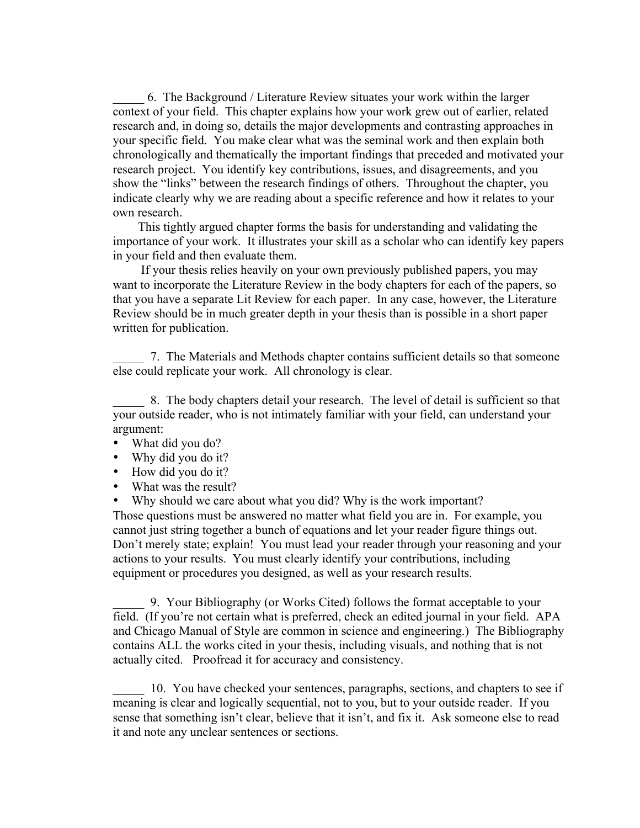\_\_\_\_\_ 6. The Background / Literature Review situates your work within the larger context of your field. This chapter explains how your work grew out of earlier, related research and, in doing so, details the major developments and contrasting approaches in your specific field. You make clear what was the seminal work and then explain both chronologically and thematically the important findings that preceded and motivated your research project. You identify key contributions, issues, and disagreements, and you show the "links" between the research findings of others. Throughout the chapter, you indicate clearly why we are reading about a specific reference and how it relates to your own research.

 This tightly argued chapter forms the basis for understanding and validating the importance of your work. It illustrates your skill as a scholar who can identify key papers in your field and then evaluate them.

 If your thesis relies heavily on your own previously published papers, you may want to incorporate the Literature Review in the body chapters for each of the papers, so that you have a separate Lit Review for each paper. In any case, however, the Literature Review should be in much greater depth in your thesis than is possible in a short paper written for publication.

\_\_\_\_\_ 7. The Materials and Methods chapter contains sufficient details so that someone else could replicate your work. All chronology is clear.

\_\_\_\_\_ 8. The body chapters detail your research. The level of detail is sufficient so that your outside reader, who is not intimately familiar with your field, can understand your argument:

- What did you do?
- Why did you do it?
- How did you do it?
- What was the result?

• Why should we care about what you did? Why is the work important? Those questions must be answered no matter what field you are in. For example, you cannot just string together a bunch of equations and let your reader figure things out. Don't merely state; explain! You must lead your reader through your reasoning and your actions to your results. You must clearly identify your contributions, including equipment or procedures you designed, as well as your research results.

\_\_\_\_\_ 9. Your Bibliography (or Works Cited) follows the format acceptable to your field. (If you're not certain what is preferred, check an edited journal in your field. APA and Chicago Manual of Style are common in science and engineering.) The Bibliography contains ALL the works cited in your thesis, including visuals, and nothing that is not actually cited. Proofread it for accuracy and consistency.

\_\_\_\_\_ 10. You have checked your sentences, paragraphs, sections, and chapters to see if meaning is clear and logically sequential, not to you, but to your outside reader. If you sense that something isn't clear, believe that it isn't, and fix it. Ask someone else to read it and note any unclear sentences or sections.